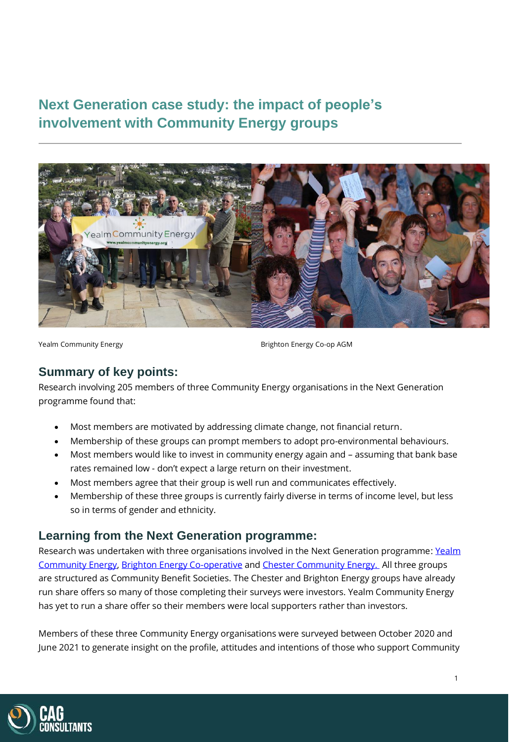# **Next Generation case study: the impact of people's involvement with Community Energy groups**



Yealm Community Energy **Brighton Energy Co-op AGM** 

# **Summary of key points:**

Research involving 205 members of three Community Energy organisations in the Next Generation programme found that:

- Most members are motivated by addressing climate change, not financial return.
- Membership of these groups can prompt members to adopt pro-environmental behaviours.
- Most members would like to invest in community energy again and assuming that bank base rates remained low - don't expect a large return on their investment.
- Most members agree that their group is well run and communicates effectively.
- Membership of these three groups is currently fairly diverse in terms of income level, but less so in terms of gender and ethnicity.

# **Learning from the Next Generation programme:**

Research was undertaken with three organisations involved in the Next Generation programme[: Yealm](https://www.yealmenergy.co.uk/)  [Community Energy,](https://www.yealmenergy.co.uk/) [Brighton Energy Co-operative](https://brightonenergy.org.uk/) an[d Chester Community Energy.](http://www.chestercommunityenergy.org.uk/) All three groups are structured as Community Benefit Societies. The Chester and Brighton Energy groups have already run share offers so many of those completing their surveys were investors. Yealm Community Energy has yet to run a share offer so their members were local supporters rather than investors.

Members of these three Community Energy organisations were surveyed between October 2020 and June 2021 to generate insight on the profile, attitudes and intentions of those who support Community

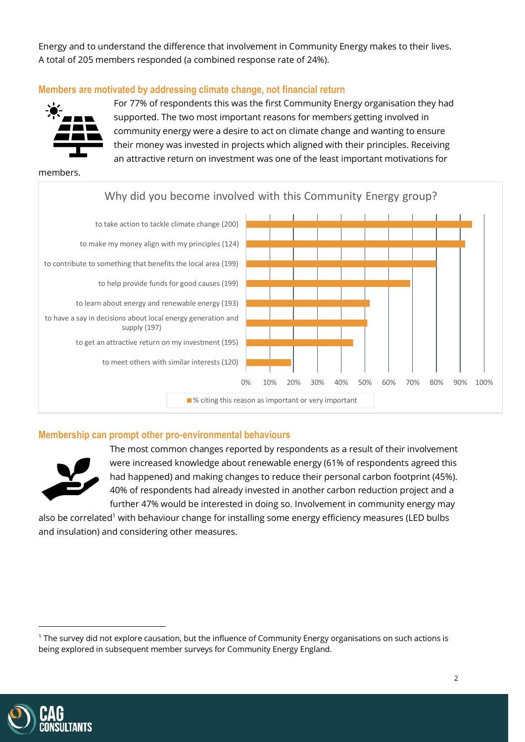Energy and to understand the difference that involvement in Community Energy makes to their lives. A total of 205 members responded (a combined response rate of 24%).

### **Members are motivated by addressing climate change, not financial return**



For 77% of respondents this was the first Community Energy organisation they had supported. The two most important reasons for members getting involved in community energy were a desire to act on climate change and wanting to ensure their money was invested in projects which aligned with their principles. Receiving an attractive return on investment was one of the least important motivations for

members.



#### **Membership can prompt other pro-environmental behaviours**



The most common changes reported by respondents as a result of their involvement were increased knowledge about renewable energy (61% of respondents agreed this had happened) and making changes to reduce their personal carbon footprint (45%). 40% of respondents had already invested in another carbon reduction project and a further 47% would be interested in doing so. Involvement in community energy may

also be correlated<sup>1</sup> with behaviour change for installing some energy efficiency measures (LED bulbs and insulation) and considering other measures.



<sup>1</sup> The survey did not explore causation, but the influence of Community Energy organisations on such actions is being explored in subsequent member surveys for Community Energy England.